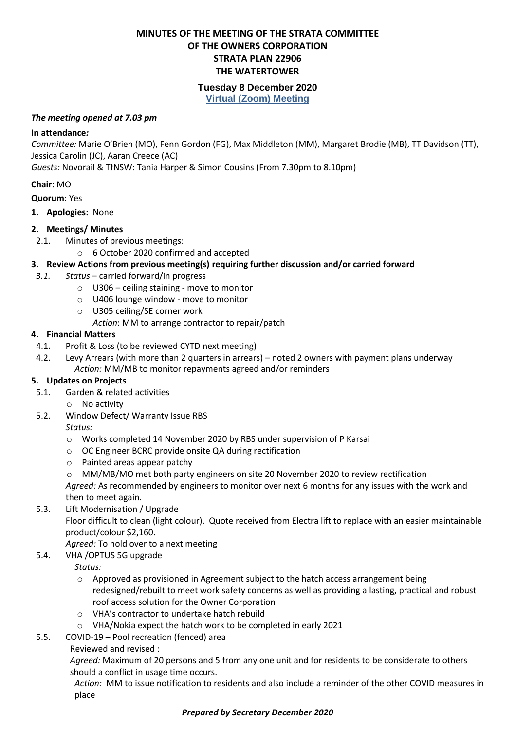# **MINUTES OF THE MEETING OF THE STRATA COMMITTEE OF THE OWNERS CORPORATION STRATA PLAN 22906 THE WATERTOWER**

# **Tuesday 8 December 2020**

**Virtual (Zoom) Meeting**

#### *The meeting opened at 7.03 pm*

#### **In attendance***:*

*Committee:* Marie O'Brien (MO), Fenn Gordon (FG), Max Middleton (MM), Margaret Brodie (MB), TT Davidson (TT), Jessica Carolin (JC), Aaran Creece (AC)

*Guests:* Novorail & TfNSW: Tania Harper & Simon Cousins (From 7.30pm to 8.10pm)

## **Chair:** MO

**Quorum**: Yes

**1. Apologies:** None

## **2. Meetings/ Minutes**

- 2.1. Minutes of previous meetings:
	- o 6 October 2020 confirmed and accepted

## **3. Review Actions from previous meeting(s) requiring further discussion and/or carried forward**

- *3.1. Status* carried forward/in progress
	- o U306 ceiling staining move to monitor
	- o U406 lounge window move to monitor
	- o U305 ceiling/SE corner work

*Action*: MM to arrange contractor to repair/patch

## **4. Financial Matters**

- 4.1. Profit & Loss (to be reviewed CYTD next meeting)
- 4.2. Levy Arrears (with more than 2 quarters in arrears) noted 2 owners with payment plans underway *Action:* MM/MB to monitor repayments agreed and/or reminders

## **5. Updates on Projects**

- 5.1. Garden & related activities
	- o No activity
- 5.2. Window Defect/ Warranty Issue RBS

## *Status:*

- o Works completed 14 November 2020 by RBS under supervision of P Karsai
- o OC Engineer BCRC provide onsite QA during rectification
- o Painted areas appear patchy
- o MM/MB/MO met both party engineers on site 20 November 2020 to review rectification

*Agreed:* As recommended by engineers to monitor over next 6 months for any issues with the work and then to meet again.

## 5.3. Lift Modernisation / Upgrade

Floor difficult to clean (light colour). Quote received from Electra lift to replace with an easier maintainable product/colour \$2,160.

*Agreed:* To hold over to a next meeting

# 5.4. VHA /OPTUS 5G upgrade

*Status:*

- $\circ$  Approved as provisioned in Agreement subject to the hatch access arrangement being redesigned/rebuilt to meet work safety concerns as well as providing a lasting, practical and robust roof access solution for the Owner Corporation
- o VHA's contractor to undertake hatch rebuild
- o VHA/Nokia expect the hatch work to be completed in early 2021

# 5.5. COVID-19 – Pool recreation (fenced) area

# Reviewed and revised :

*Agreed:* Maximum of 20 persons and 5 from any one unit and for residents to be considerate to others should a conflict in usage time occurs.

*Action:* MM to issue notification to residents and also include a reminder of the other COVID measures in place

## *Prepared by Secretary December 2020*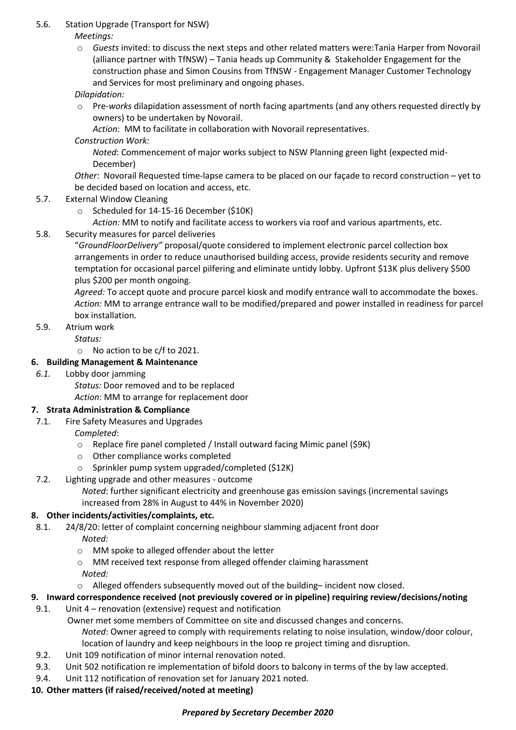# 5.6. Station Upgrade (Transport for NSW)

*Meetings:*

o *Guests* invited: to discuss the next steps and other related matters were:Tania Harper from Novorail (alliance partner with TfNSW) – Tania heads up Community & Stakeholder Engagement for the construction phase and Simon Cousins from TfNSW - Engagement Manager Customer Technology and Services for most preliminary and ongoing phases.

*Dilapidation:*

o Pre-*works* dilapidation assessment of north facing apartments (and any others requested directly by owners) to be undertaken by Novorail.

*Action*: MM to facilitate in collaboration with Novorail representatives.

## *Construction Work:*

*Noted*: Commencement of major works subject to NSW Planning green light (expected mid-December)

*Other*: Novorail Requested time-lapse camera to be placed on our façade to record construction – yet to be decided based on location and access, etc.

- 5.7. External Window Cleaning
	- o Scheduled for 14-15-16 December (\$10K)
		- *Action:* MM to notify and facilitate access to workers via roof and various apartments, etc.
- 5.8. Security measures for parcel deliveries

"*GroundFloorDelivery"* proposal/quote considered to implement electronic parcel collection box arrangements in order to reduce unauthorised building access, provide residents security and remove temptation for occasional parcel pilfering and eliminate untidy lobby. Upfront \$13K plus delivery \$500 plus \$200 per month ongoing.

*Agreed:* To accept quote and procure parcel kiosk and modify entrance wall to accommodate the boxes. *Action:* MM to arrange entrance wall to be modified/prepared and power installed in readiness for parcel box installation.

5.9. Atrium work

*Status:* 

o No action to be c/f to 2021.

## **6. Building Management & Maintenance**

*6.1.* Lobby door jamming

*Status:* Door removed and to be replaced

*Action*: MM to arrange for replacement door

# **7. Strata Administration & Compliance**

- 7.1. Fire Safety Measures and Upgrades
	- *Completed*:
		- o Replace fire panel completed / Install outward facing Mimic panel (\$9K)
		- o Other compliance works completed
		- o Sprinkler pump system upgraded/completed (\$12K)
- 7.2. Lighting upgrade and other measures outcome
	- *Noted*: further significant electricity and greenhouse gas emission savings (incremental savings increased from 28% in August to 44% in November 2020)

# **8. Other incidents/activities/complaints, etc.**

- 8.1. 24/8/20: letter of complaint concerning neighbour slamming adjacent front door *Noted:*
	- o MM spoke to alleged offender about the letter
	- o MM received text response from alleged offender claiming harassment *Noted:*
	- $\circ$  Alleged offenders subsequently moved out of the building– incident now closed.

# **9. Inward correspondence received (not previously covered or in pipeline) requiring review/decisions/noting**

9.1. Unit 4 – renovation (extensive) request and notification

Owner met some members of Committee on site and discussed changes and concerns. *Noted*: Owner agreed to comply with requirements relating to noise insulation, window/door colour, location of laundry and keep neighbours in the loop re project timing and disruption.

- 9.2. Unit 109 notification of minor internal renovation noted.
- 9.3. Unit 502 notification re implementation of bifold doors to balcony in terms of the by law accepted.
- 9.4. Unit 112 notification of renovation set for January 2021 noted.

# **10. Other matters (if raised/received/noted at meeting)**

## *Prepared by Secretary December 2020*